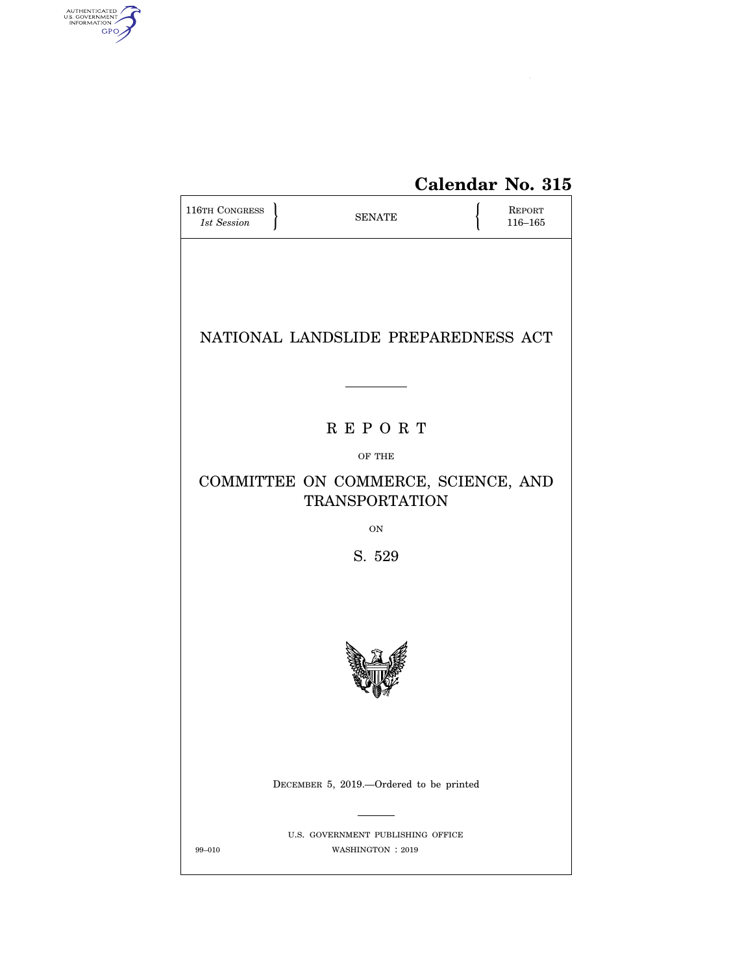

# **Calendar No. 315**

| <b>116TH CONGRESS</b><br>1st Session                         |  | <b>SENATE</b>                                          |  | <b>REPORT</b><br>$116 - 165$ |  |  |  |  |  |
|--------------------------------------------------------------|--|--------------------------------------------------------|--|------------------------------|--|--|--|--|--|
| NATIONAL LANDSLIDE PREPAREDNESS ACT                          |  |                                                        |  |                              |  |  |  |  |  |
|                                                              |  |                                                        |  |                              |  |  |  |  |  |
| <b>REPORT</b>                                                |  |                                                        |  |                              |  |  |  |  |  |
| OF THE                                                       |  |                                                        |  |                              |  |  |  |  |  |
| COMMITTEE ON COMMERCE, SCIENCE, AND<br><b>TRANSPORTATION</b> |  |                                                        |  |                              |  |  |  |  |  |
|                                                              |  | <b>ON</b>                                              |  |                              |  |  |  |  |  |
| S. 529                                                       |  |                                                        |  |                              |  |  |  |  |  |
|                                                              |  |                                                        |  |                              |  |  |  |  |  |
|                                                              |  | DECEMBER 5, 2019.-Ordered to be printed                |  |                              |  |  |  |  |  |
| 99-010                                                       |  | U.S. GOVERNMENT PUBLISHING OFFICE<br>WASHINGTON : 2019 |  |                              |  |  |  |  |  |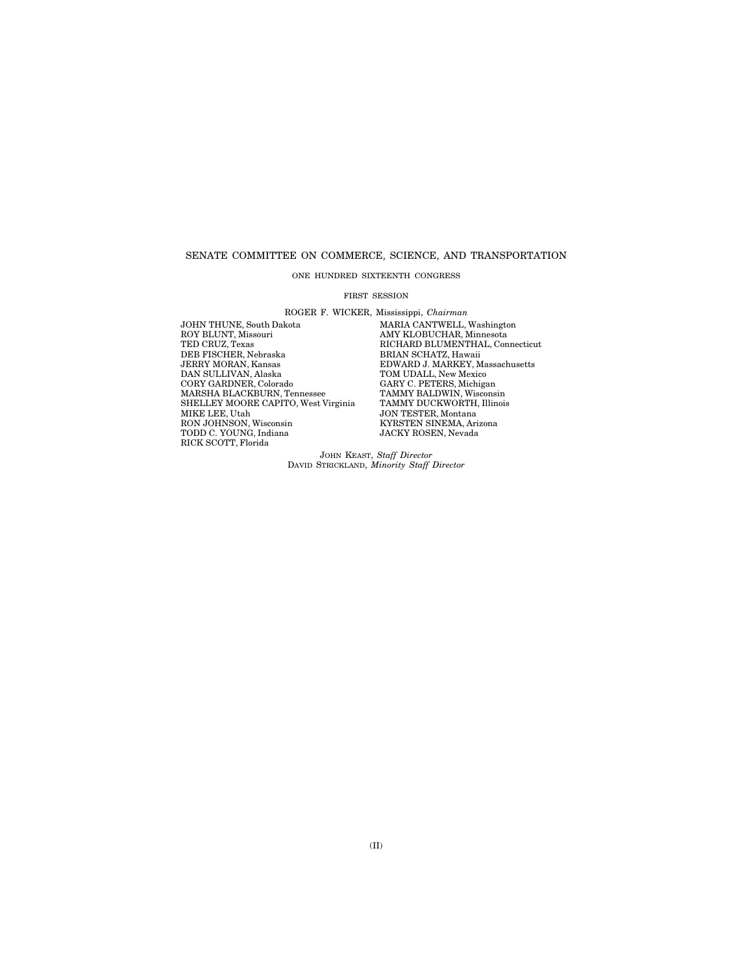# SENATE COMMITTEE ON COMMERCE, SCIENCE, AND TRANSPORTATION

ONE HUNDRED SIXTEENTH CONGRESS

#### FIRST SESSION

ROGER F. WICKER, Mississippi, *Chairman* 

JOHN THUNE, South Dakota MARIA CANTWELL, Washington<br>ROY BLUNT, Missouri MARIA MAY KLOBUCHAR, Minnesota ROY BLUNT, Missouri AMY KLOBUCHAR, Minnesota TED CRUZ, Texas RICHARD BLUMENTHAL, Connecticut THE CIRCLIFER, Nebraska BRIAN SCHATZ, Hawaii JERRY MORAN, Kansas<br>JERRY MORAN, Kansas<br>DNARD J. MARKEY, M<br>DAN SULLIVAN, Alaska TOM UDALL, New Mexic JERRY MORAN, Kansas EDWARD J. MARKEY, Massachusetts DAN SULLIVAN, Alaska TOM UDALL, New Mexico CORY GARDNER, Colorado CARY C. PETERS, Michigan<br>MARSHA BLACKBURN, Tennessee TAMMY BALDWIN, Wisconsin<br>SHELLEY MOORE CAPITO, West Virginia TAMMY DUCKWORTH, Illinois MARSHA BLACKBURN, Tennessee TAMMY BALDWIN, Wisconsin SHELLEY MOORE CAPITO, West Virginia TAMMY DUCKWORTH, Illinois MIKE LEE, Utah JON TESTER, Montana TODD C. YOUNG, Indiana JACKY ROSEN, Nevada RICK SCOTT, Florida

**SON TESTEN, MONTAIR<br>KYRSTEN SINEMA, Arizona**<br>JACKY ROSEN, Nevada

JOHN KEAST, *Staff Director*  DAVID STRICKLAND, *Minority Staff Director*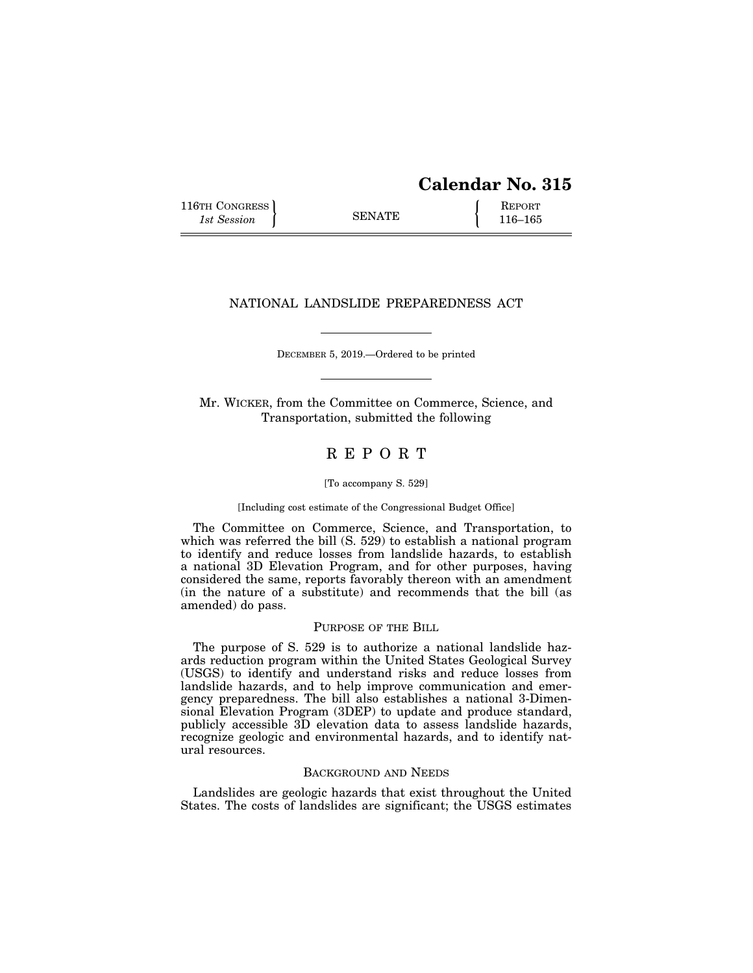# **Calendar No. 315**

116TH CONGRESS REPORT 116-165

# NATIONAL LANDSLIDE PREPAREDNESS ACT

DECEMBER 5, 2019.—Ordered to be printed

Mr. WICKER, from the Committee on Commerce, Science, and Transportation, submitted the following

# R E P O R T

#### [To accompany S. 529]

### [Including cost estimate of the Congressional Budget Office]

The Committee on Commerce, Science, and Transportation, to which was referred the bill (S. 529) to establish a national program to identify and reduce losses from landslide hazards, to establish a national 3D Elevation Program, and for other purposes, having considered the same, reports favorably thereon with an amendment (in the nature of a substitute) and recommends that the bill (as amended) do pass.

# PURPOSE OF THE BILL

The purpose of S. 529 is to authorize a national landslide hazards reduction program within the United States Geological Survey (USGS) to identify and understand risks and reduce losses from landslide hazards, and to help improve communication and emergency preparedness. The bill also establishes a national 3-Dimensional Elevation Program (3DEP) to update and produce standard, publicly accessible 3D elevation data to assess landslide hazards, recognize geologic and environmental hazards, and to identify natural resources.

# BACKGROUND AND NEEDS

Landslides are geologic hazards that exist throughout the United States. The costs of landslides are significant; the USGS estimates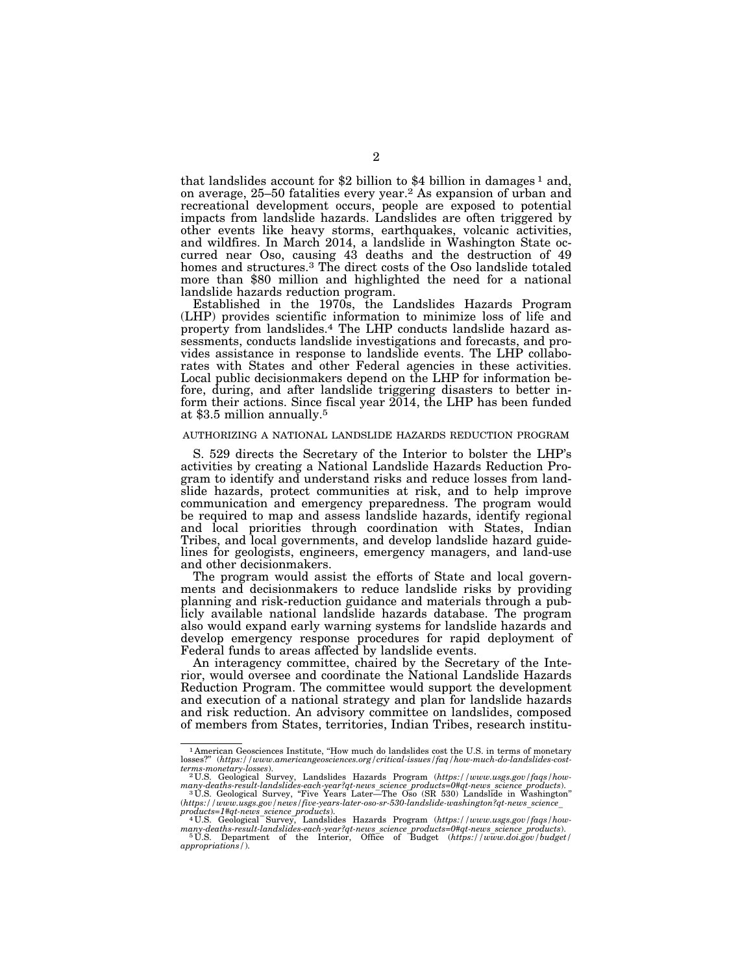that landslides account for \$2 billion to \$4 billion in damages  $<sup>1</sup>$  and,</sup> on average, 25–50 fatalities every year.<sup>2</sup> As expansion of urban and recreational development occurs, people are exposed to potential impacts from landslide hazards. Landslides are often triggered by other events like heavy storms, earthquakes, volcanic activities, and wildfires. In March 2014, a landslide in Washington State occurred near Oso, causing 43 deaths and the destruction of 49 homes and structures.<sup>3</sup> The direct costs of the Oso landslide totaled more than \$80 million and highlighted the need for a national landslide hazards reduction program.

Established in the 1970s, the Landslides Hazards Program (LHP) provides scientific information to minimize loss of life and property from landslides.4 The LHP conducts landslide hazard assessments, conducts landslide investigations and forecasts, and provides assistance in response to landslide events. The LHP collaborates with States and other Federal agencies in these activities. Local public decisionmakers depend on the LHP for information before, during, and after landslide triggering disasters to better inform their actions. Since fiscal year 2014, the LHP has been funded at \$3.5 million annually.5

# AUTHORIZING A NATIONAL LANDSLIDE HAZARDS REDUCTION PROGRAM

S. 529 directs the Secretary of the Interior to bolster the LHP's activities by creating a National Landslide Hazards Reduction Program to identify and understand risks and reduce losses from landslide hazards, protect communities at risk, and to help improve communication and emergency preparedness. The program would be required to map and assess landslide hazards, identify regional and local priorities through coordination with States, Indian Tribes, and local governments, and develop landslide hazard guidelines for geologists, engineers, emergency managers, and land-use and other decisionmakers.

The program would assist the efforts of State and local governments and decisionmakers to reduce landslide risks by providing planning and risk-reduction guidance and materials through a publicly available national landslide hazards database. The program also would expand early warning systems for landslide hazards and develop emergency response procedures for rapid deployment of Federal funds to areas affected by landslide events.

An interagency committee, chaired by the Secretary of the Interior, would oversee and coordinate the National Landslide Hazards Reduction Program. The committee would support the development and execution of a national strategy and plan for landslide hazards and risk reduction. An advisory committee on landslides, composed of members from States, territories, Indian Tribes, research institu-

<sup>&</sup>lt;sup>1</sup> American Geosciences Institute, "How much do landslides cost the U.S. in terms of monetary losses?" *(https://www.americangeosciences.org/critical-issues/fag/how-much-do-landslides-cost*losses?'' (*https://www.americangeosciences.org/critical-issues/faq/how-much-do-landslides-cost-*

*terms-monetary-losses*). 2 U.S. Geological Survey, Landslides Hazards Program (*https://www.usgs.gov/faqs/howmany-deaths-result-landslides-each-year?qt-news*\_*science*\_*products=0#qt-news*\_*science*\_*products*). 3 U.S. Geological Survey, ''Five Years Later—The Oso (SR 530) Landslide in Washington''

<sup>(</sup>*https://www.usgs.gov/news/five-years-later-oso-sr-530-landslide-washington?qt-news*\_*science*\_ *products=1#qt-news*\_*science*\_*products*). 4 U.S. Geological Survey, Landslides Hazards Program (*https://www.usgs.gov/faqs/how-*

*many-deaths-result-landslides-each-year?qt-news*\_*science*\_*products=0#qt-news*\_*science*\_*products*). 5 U.S. Department of the Interior, Office of Budget (*https://www.doi.gov/budget/* 

*appropriations/*).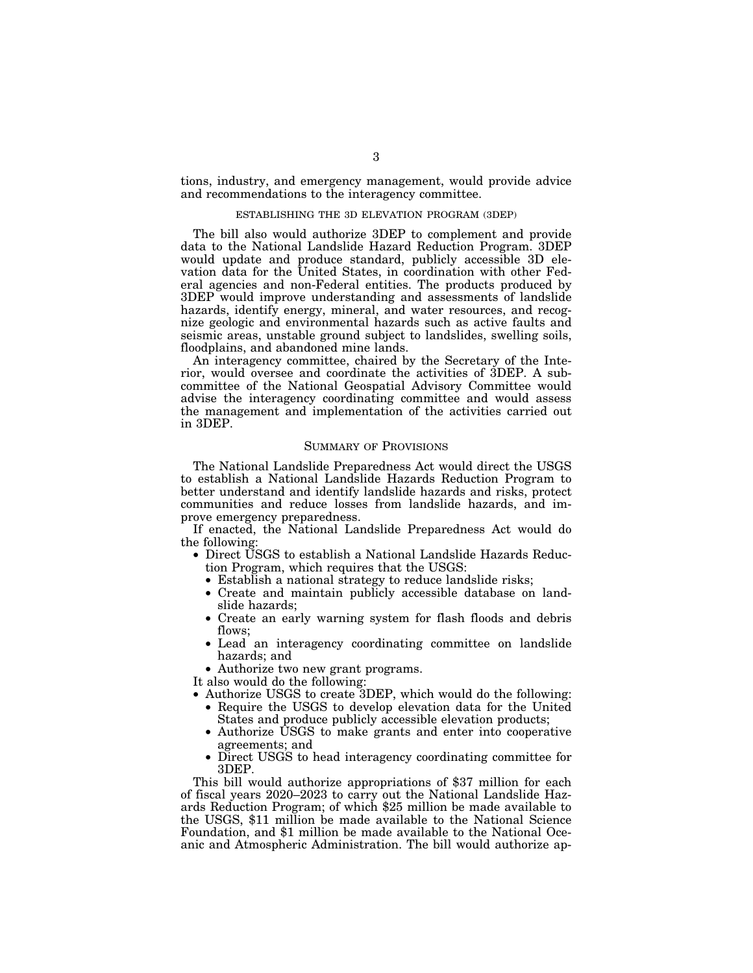tions, industry, and emergency management, would provide advice and recommendations to the interagency committee.

# ESTABLISHING THE 3D ELEVATION PROGRAM (3DEP)

The bill also would authorize 3DEP to complement and provide data to the National Landslide Hazard Reduction Program. 3DEP would update and produce standard, publicly accessible 3D elevation data for the United States, in coordination with other Federal agencies and non-Federal entities. The products produced by 3DEP would improve understanding and assessments of landslide hazards, identify energy, mineral, and water resources, and recognize geologic and environmental hazards such as active faults and seismic areas, unstable ground subject to landslides, swelling soils, floodplains, and abandoned mine lands.

An interagency committee, chaired by the Secretary of the Interior, would oversee and coordinate the activities of 3DEP. A subcommittee of the National Geospatial Advisory Committee would advise the interagency coordinating committee and would assess the management and implementation of the activities carried out in 3DEP.

## SUMMARY OF PROVISIONS

The National Landslide Preparedness Act would direct the USGS to establish a National Landslide Hazards Reduction Program to better understand and identify landslide hazards and risks, protect communities and reduce losses from landslide hazards, and improve emergency preparedness.

If enacted, the National Landslide Preparedness Act would do the following:

- Direct USGS to establish a National Landslide Hazards Reduction Program, which requires that the USGS:
	- Establish a national strategy to reduce landslide risks;
	- Create and maintain publicly accessible database on landslide hazards;
	- Create an early warning system for flash floods and debris flows;
	- Lead an interagency coordinating committee on landslide hazards; and
- Authorize two new grant programs.

It also would do the following:

- Authorize USGS to create 3DEP, which would do the following: • Require the USGS to develop elevation data for the United
	- States and produce publicly accessible elevation products;
	- Authorize USGS to make grants and enter into cooperative agreements; and
	- Direct USGS to head interagency coordinating committee for 3DEP.

This bill would authorize appropriations of \$37 million for each of fiscal years 2020–2023 to carry out the National Landslide Hazards Reduction Program; of which \$25 million be made available to the USGS, \$11 million be made available to the National Science Foundation, and \$1 million be made available to the National Oceanic and Atmospheric Administration. The bill would authorize ap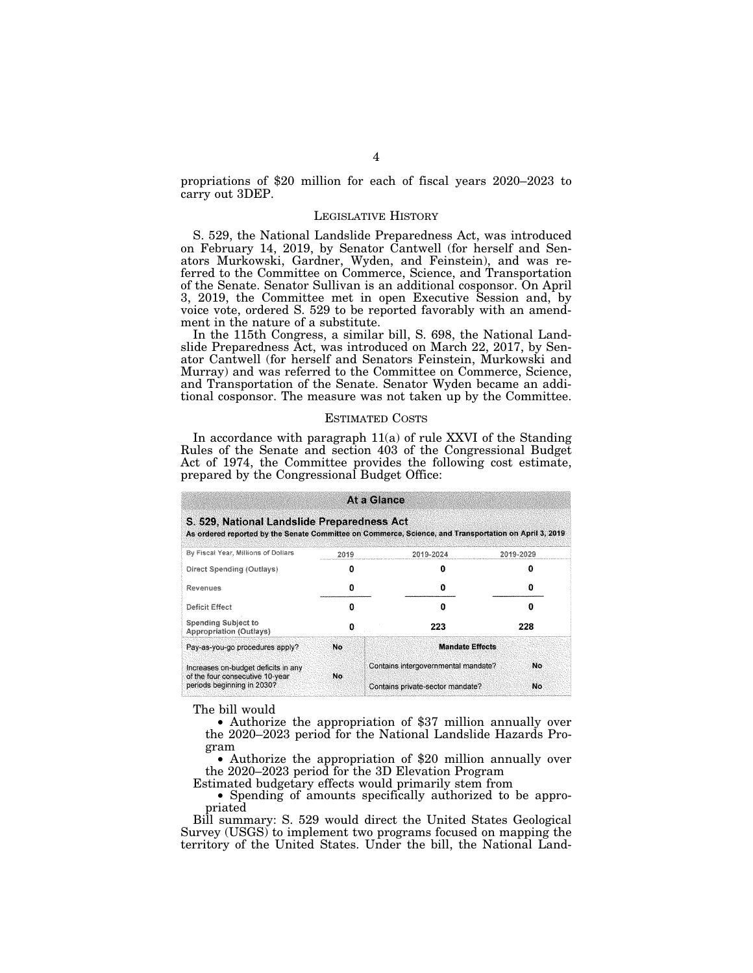propriations of \$20 million for each of fiscal years 2020–2023 to carry out 3DEP.

# LEGISLATIVE HISTORY

S. 529, the National Landslide Preparedness Act, was introduced on February 14, 2019, by Senator Cantwell (for herself and Senators Murkowski, Gardner, Wyden, and Feinstein), and was referred to the Committee on Commerce, Science, and Transportation of the Senate. Senator Sullivan is an additional cosponsor. On April 3, 2019, the Committee met in open Executive Session and, by voice vote, ordered S. 529 to be reported favorably with an amendment in the nature of a substitute.

In the 115th Congress, a similar bill, S. 698, the National Landslide Preparedness Act, was introduced on March 22, 2017, by Senator Cantwell (for herself and Senators Feinstein, Murkowski and Murray) and was referred to the Committee on Commerce, Science, and Transportation of the Senate. Senator Wyden became an additional cosponsor. The measure was not taken up by the Committee.

# ESTIMATED COSTS

In accordance with paragraph 11(a) of rule XXVI of the Standing Rules of the Senate and section 403 of the Congressional Budget Act of 1974, the Committee provides the following cost estimate, prepared by the Congressional Budget Office:

| At a Glance<br>S. 529, National Landslide Preparedness Act<br>As ordered reported by the Senate Committee on Commerce, Science, and Transportation on April 3, 2019 |           |                                           |     |  |  |  |  |  |  |  |
|---------------------------------------------------------------------------------------------------------------------------------------------------------------------|-----------|-------------------------------------------|-----|--|--|--|--|--|--|--|
|                                                                                                                                                                     |           |                                           |     |  |  |  |  |  |  |  |
| Direct Spending (Outlays)                                                                                                                                           | n         | o                                         | п   |  |  |  |  |  |  |  |
| Revenues                                                                                                                                                            |           | Ω                                         |     |  |  |  |  |  |  |  |
| Deficit Effect                                                                                                                                                      |           | Ω                                         | n   |  |  |  |  |  |  |  |
| <b>Spending Subject to</b><br>Appropriation (Outlays)                                                                                                               | o         | 223                                       | 228 |  |  |  |  |  |  |  |
| Pay-as-you-go procedures apply?                                                                                                                                     | <b>No</b> | <b>Mandate Effects</b>                    |     |  |  |  |  |  |  |  |
| Increases on-budget deficits in any<br>of the four consecutive 10-year                                                                                              | No        | Contains intergovernmental mandate?<br>No |     |  |  |  |  |  |  |  |
| periods beginning in 2030?                                                                                                                                          |           | Contains private-sector mandate?          | No  |  |  |  |  |  |  |  |

The bill would

• Authorize the appropriation of \$37 million annually over the 2020–2023 period for the National Landslide Hazards Program

• Authorize the appropriation of \$20 million annually over the 2020–2023 period for the 3D Elevation Program

Estimated budgetary effects would primarily stem from

• Spending of amounts specifically authorized to be appropriated

Bill summary: S. 529 would direct the United States Geological Survey (USGS) to implement two programs focused on mapping the territory of the United States. Under the bill, the National Land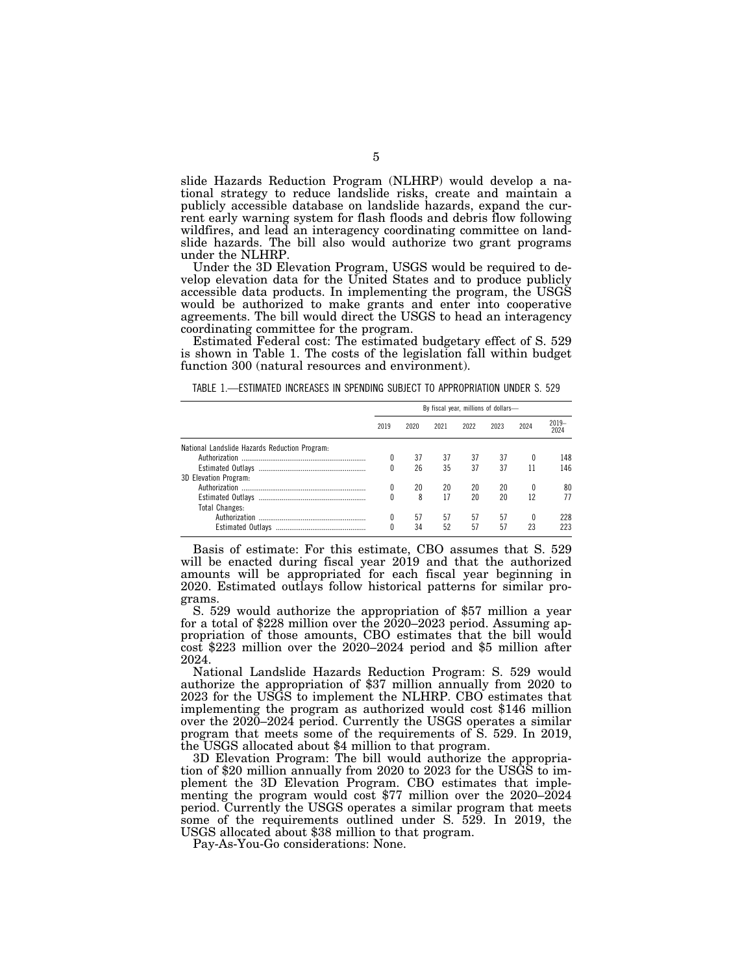slide Hazards Reduction Program (NLHRP) would develop a national strategy to reduce landslide risks, create and maintain a publicly accessible database on landslide hazards, expand the current early warning system for flash floods and debris flow following wildfires, and lead an interagency coordinating committee on landslide hazards. The bill also would authorize two grant programs under the NLHRP.

Under the 3D Elevation Program, USGS would be required to develop elevation data for the United States and to produce publicly accessible data products. In implementing the program, the USGS would be authorized to make grants and enter into cooperative agreements. The bill would direct the USGS to head an interagency coordinating committee for the program.

Estimated Federal cost: The estimated budgetary effect of S. 529 is shown in Table 1. The costs of the legislation fall within budget function 300 (natural resources and environment).

TABLE 1.—ESTIMATED INCREASES IN SPENDING SUBJECT TO APPROPRIATION UNDER S. 529

|                                               | By fiscal year, millions of dollars- |      |      |      |      |      |                 |
|-----------------------------------------------|--------------------------------------|------|------|------|------|------|-----------------|
|                                               | 2019                                 | 2020 | 2021 | 2022 | 2023 | 2024 | $2019-$<br>2024 |
| National Landslide Hazards Reduction Program. |                                      |      |      |      |      |      |                 |
|                                               |                                      | 37   | 37   | 37   | 37   | 0    | 148             |
|                                               | 0                                    | 26   | 35   | 37   | 37   |      | 146             |
| 3D Elevation Program:                         |                                      |      |      |      |      |      |                 |
|                                               | 0                                    | 20   | 20   | 20   | 20   | 0    | 80              |
|                                               | Λ                                    | 8    | 17   | 20   | 20   | 12   | 77              |
| <b>Total Changes:</b>                         |                                      |      |      |      |      |      |                 |
|                                               |                                      | 57   | 57   | 57   | 57   | 0    | 228             |
| <b>Estimated Outlavs</b>                      | Λ                                    | 34   | 52   | 57   | 57   | 23   | 223             |

Basis of estimate: For this estimate, CBO assumes that S. 529 will be enacted during fiscal year 2019 and that the authorized amounts will be appropriated for each fiscal year beginning in 2020. Estimated outlays follow historical patterns for similar programs.

S. 529 would authorize the appropriation of \$57 million a year for a total of \$228 million over the 2020–2023 period. Assuming appropriation of those amounts, CBO estimates that the bill would cost \$223 million over the 2020–2024 period and \$5 million after 2024.

National Landslide Hazards Reduction Program: S. 529 would authorize the appropriation of \$37 million annually from 2020 to 2023 for the USGS to implement the NLHRP. CBO estimates that implementing the program as authorized would cost \$146 million over the 2020–2024 period. Currently the USGS operates a similar program that meets some of the requirements of S. 529. In 2019, the USGS allocated about \$4 million to that program.

3D Elevation Program: The bill would authorize the appropriation of \$20 million annually from 2020 to 2023 for the USGS to implement the 3D Elevation Program. CBO estimates that implementing the program would cost \$77 million over the 2020–2024 period. Currently the USGS operates a similar program that meets some of the requirements outlined under S. 529. In 2019, the USGS allocated about \$38 million to that program.

Pay-As-You-Go considerations: None.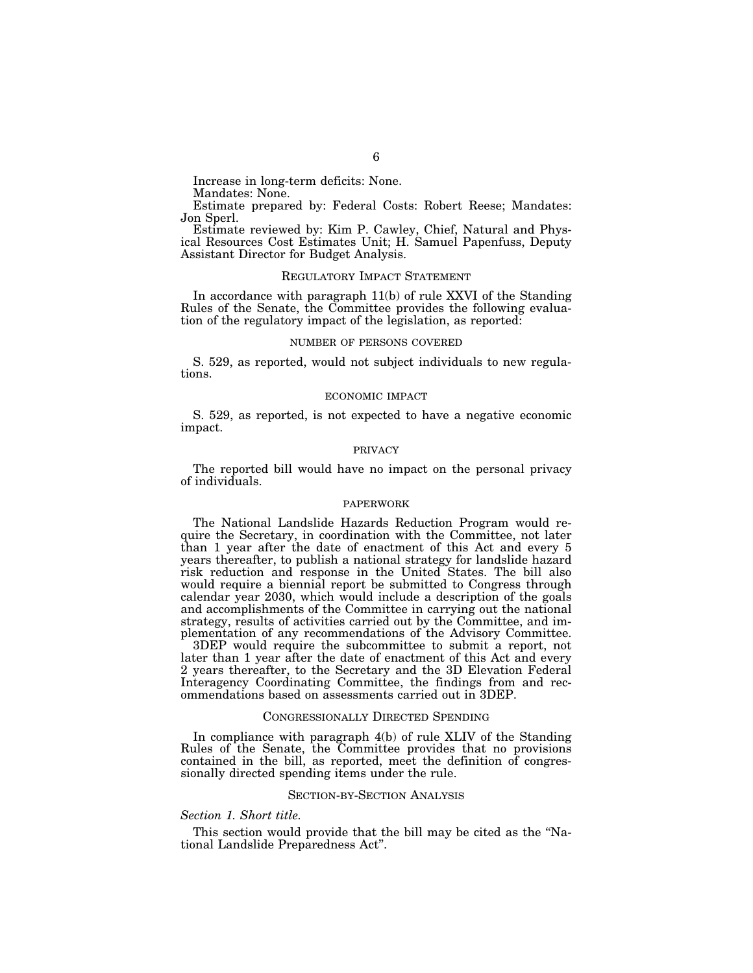Mandates: None.

Estimate prepared by: Federal Costs: Robert Reese; Mandates: Jon Sperl.

Estimate reviewed by: Kim P. Cawley, Chief, Natural and Physical Resources Cost Estimates Unit; H. Samuel Papenfuss, Deputy Assistant Director for Budget Analysis.

# REGULATORY IMPACT STATEMENT

In accordance with paragraph 11(b) of rule XXVI of the Standing Rules of the Senate, the Committee provides the following evaluation of the regulatory impact of the legislation, as reported:

### NUMBER OF PERSONS COVERED

S. 529, as reported, would not subject individuals to new regulations.

#### ECONOMIC IMPACT

S. 529, as reported, is not expected to have a negative economic impact.

### PRIVACY

The reported bill would have no impact on the personal privacy of individuals.

# PAPERWORK

The National Landslide Hazards Reduction Program would require the Secretary, in coordination with the Committee, not later than 1 year after the date of enactment of this Act and every 5 years thereafter, to publish a national strategy for landslide hazard risk reduction and response in the United States. The bill also would require a biennial report be submitted to Congress through calendar year 2030, which would include a description of the goals and accomplishments of the Committee in carrying out the national strategy, results of activities carried out by the Committee, and implementation of any recommendations of the Advisory Committee.

3DEP would require the subcommittee to submit a report, not later than 1 year after the date of enactment of this Act and every 2 years thereafter, to the Secretary and the 3D Elevation Federal Interagency Coordinating Committee, the findings from and recommendations based on assessments carried out in 3DEP.

# CONGRESSIONALLY DIRECTED SPENDING

In compliance with paragraph 4(b) of rule XLIV of the Standing Rules of the Senate, the Committee provides that no provisions contained in the bill, as reported, meet the definition of congressionally directed spending items under the rule.

# SECTION-BY-SECTION ANALYSIS

# *Section 1. Short title.*

This section would provide that the bill may be cited as the "National Landslide Preparedness Act''.